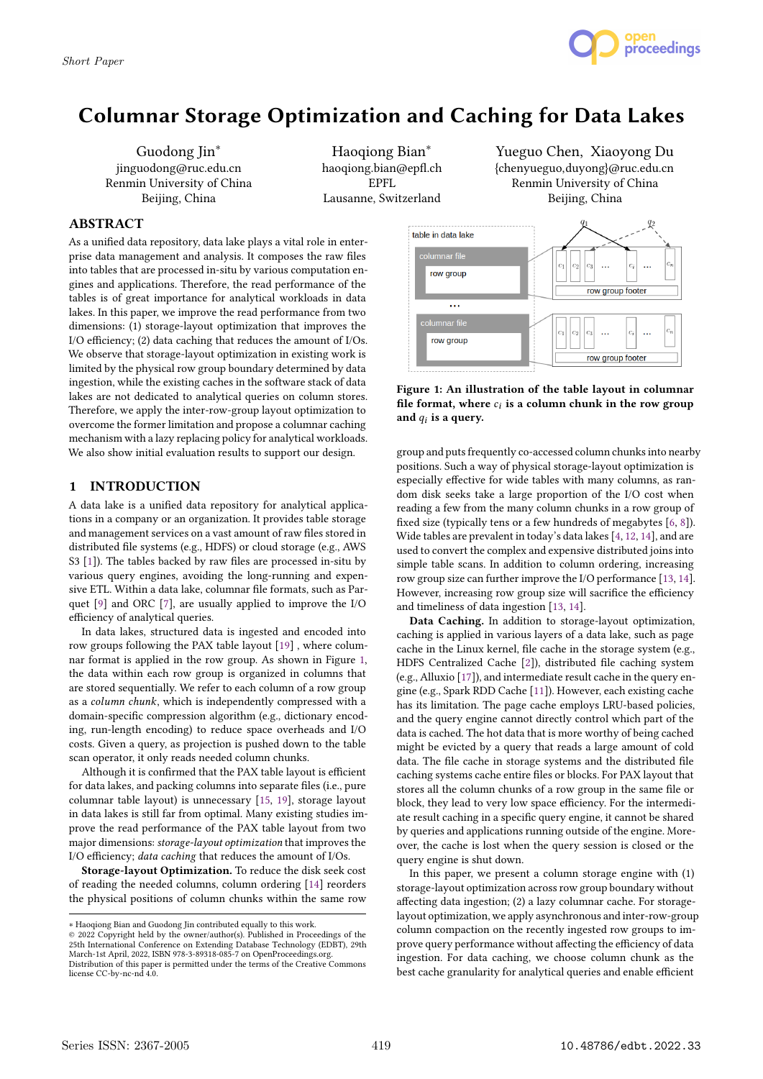

# **Columnar Storage Optimization and Caching for Data Lakes**

Guodong Jin∗ jinguodong@ruc.edu.cn Renmin University of China Beijing, China

Haoqiong Bian∗ haoqiong.bian@epfl.ch EPFL Lausanne, Switzerland

# **ABSTRACT**

As a unified data repository, data lake plays a vital role in enterprise data management and analysis. It composes the raw files into tables that are processed in-situ by various computation engines and applications. Therefore, the read performance of the tables is of great importance for analytical workloads in data lakes. In this paper, we improve the read performance from two dimensions: (1) storage-layout optimization that improves the I/O efficiency; (2) data caching that reduces the amount of I/Os. We observe that storage-layout optimization in existing work is limited by the physical row group boundary determined by data ingestion, while the existing caches in the software stack of data lakes are not dedicated to analytical queries on column stores. Therefore, we apply the inter-row-group layout optimization to overcome the former limitation and propose a columnar caching mechanism with a lazy replacing policy for analytical workloads. We also show initial evaluation results to support our design.

# **1 INTRODUCTION**

A data lake is a unified data repository for analytical applications in a company or an organization. It provides table storage and management services on a vast amount of raw files stored in distributed file systems (e.g., HDFS) or cloud storage (e.g., AWS S3 [1]). The tables backed by raw files are processed in-situ by various query engines, avoiding the long-running and expensive ETL. Within a data lake, columnar file formats, such as Parquet [9] and ORC [7], are usually applied to improve the I/O efficiency of analytical queries.

In data lakes, structured data is ingested and encoded into row groups following the PAX table layout [19] , where columnar format is applied in the row group. As shown in Figure 1, the data within each row group is organized in columns that are stored sequentially. We refer to each column of a row group as a *column chunk*, which is independently compressed with a domain-specific compression algorithm (e.g., dictionary encoding, run-length encoding) to reduce space overheads and I/O costs. Given a query, as projection is pushed down to the table scan operator, it only reads needed column chunks.

Although it is confirmed that the PAX table layout is efficient for data lakes, and packing columns into separate files (i.e., pure columnar table layout) is unnecessary [15, 19], storage layout in data lakes is still far from optimal. Many existing studies improve the read performance of the PAX table layout from two major dimensions: *storage-layout optimization* that improves the I/O efficiency; *data caching* that reduces the amount of I/Os.

**Storage-layout Optimization.** To reduce the disk seek cost of reading the needed columns, column ordering [14] reorders the physical positions of column chunks within the same row

Yueguo Chen, Xiaoyong Du {chenyueguo,duyong}@ruc.edu.cn Renmin University of China Beijing, China



# **Figure 1: An illustration of the table layout in columnar** file format, where  $c_i$  is a column chunk in the row group **and is a query.**

group and puts frequently co-accessed column chunks into nearby positions. Such a way of physical storage-layout optimization is especially effective for wide tables with many columns, as random disk seeks take a large proportion of the I/O cost when reading a few from the many column chunks in a row group of fixed size (typically tens or a few hundreds of megabytes [6, 8]). Wide tables are prevalent in today's data lakes [4, 12, 14], and are used to convert the complex and expensive distributed joins into simple table scans. In addition to column ordering, increasing row group size can further improve the I/O performance [13, 14]. However, increasing row group size will sacrifice the efficiency and timeliness of data ingestion [13, 14].

**Data Caching.** In addition to storage-layout optimization, caching is applied in various layers of a data lake, such as page cache in the Linux kernel, file cache in the storage system (e.g., HDFS Centralized Cache [2]), distributed file caching system (e.g., Alluxio [17]), and intermediate result cache in the query engine (e.g., Spark RDD Cache [11]). However, each existing cache has its limitation. The page cache employs LRU-based policies, and the query engine cannot directly control which part of the data is cached. The hot data that is more worthy of being cached might be evicted by a query that reads a large amount of cold data. The file cache in storage systems and the distributed file caching systems cache entire files or blocks. For PAX layout that stores all the column chunks of a row group in the same file or block, they lead to very low space efficiency. For the intermediate result caching in a specific query engine, it cannot be shared by queries and applications running outside of the engine. Moreover, the cache is lost when the query session is closed or the query engine is shut down.

In this paper, we present a column storage engine with (1) storage-layout optimization across row group boundary without affecting data ingestion; (2) a lazy columnar cache. For storagelayout optimization, we apply asynchronous and inter-row-group column compaction on the recently ingested row groups to improve query performance without affecting the efficiency of data ingestion. For data caching, we choose column chunk as the best cache granularity for analytical queries and enable efficient

<sup>∗</sup> Haoqiong Bian and Guodong Jin contributed equally to this work.

<sup>©</sup> 2022 Copyright held by the owner/author(s). Published in Proceedings of the 25th International Conference on Extending Database Technology (EDBT), 29th<br>March-1st April, 2022, ISBN 978-3-89318-085-7 on OpenProceedings.org.<br>Distribution of this paper is permitted under the terms of the Creative Comm license CC-by-nc-nd 4.0.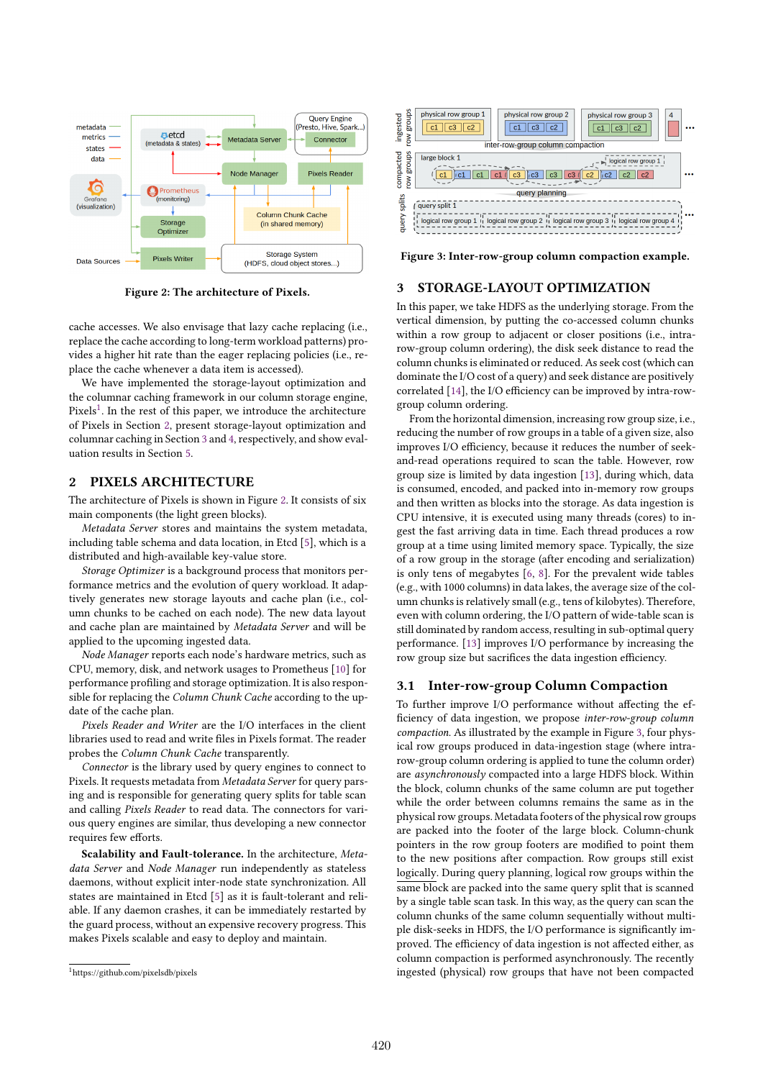

**Figure 2: The architecture of Pixels.**

cache accesses. We also envisage that lazy cache replacing (i.e., replace the cache according to long-term workload patterns) provides a higher hit rate than the eager replacing policies (i.e., replace the cache whenever a data item is accessed).

We have implemented the storage-layout optimization and the columnar caching framework in our column storage engine, Pixels<sup>1</sup>. In the rest of this paper, we introduce the architecture of Pixels in Section 2, present storage-layout optimization and columnar caching in Section 3 and 4, respectively, and show evaluation results in Section 5.

# **2 PIXELS ARCHITECTURE**

The architecture of Pixels is shown in Figure 2. It consists of six main components (the light green blocks).

*Metadata Server* stores and maintains the system metadata, including table schema and data location, in Etcd [5], which is a distributed and high-available key-value store.

*Storage Optimizer* is a background process that monitors performance metrics and the evolution of query workload. It adaptively generates new storage layouts and cache plan (i.e., column chunks to be cached on each node). The new data layout and cache plan are maintained by *Metadata Server* and will be applied to the upcoming ingested data.

*Node Manager* reports each node's hardware metrics, such as CPU, memory, disk, and network usages to Prometheus [10] for performance profiling and storage optimization. It is also responsible for replacing the *Column Chunk Cache* according to the update of the cache plan.

*Pixels Reader and Writer* are the I/O interfaces in the client libraries used to read and write files in Pixels format. The reader probes the *Column Chunk Cache* transparently.

*Connector* is the library used by query engines to connect to Pixels. It requests metadata from *Metadata Server* for query parsing and is responsible for generating query splits for table scan and calling *Pixels Reader* to read data. The connectors for various query engines are similar, thus developing a new connector requires few efforts.

**Scalability and Fault-tolerance.** In the architecture, *Metadata Server* and *Node Manager* run independently as stateless daemons, without explicit inter-node state synchronization. All states are maintained in Etcd [5] as it is fault-tolerant and reliable. If any daemon crashes, it can be immediately restarted by the guard process, without an expensive recovery progress. This makes Pixels scalable and easy to deploy and maintain.



**Figure 3: Inter-row-group column compaction example.**

# **3 STORAGE-LAYOUT OPTIMIZATION**

In this paper, we take HDFS as the underlying storage. From the vertical dimension, by putting the co-accessed column chunks within a row group to adjacent or closer positions (i.e., intrarow-group column ordering), the disk seek distance to read the column chunks is eliminated or reduced. As seek cost (which can dominate the I/O cost of a query) and seek distance are positively correlated [14], the I/O efficiency can be improved by intra-rowgroup column ordering.

From the horizontal dimension, increasing row group size, i.e., reducing the number of row groups in a table of a given size, also improves I/O efficiency, because it reduces the number of seekand-read operations required to scan the table. However, row group size is limited by data ingestion [13], during which, data is consumed, encoded, and packed into in-memory row groups and then written as blocks into the storage. As data ingestion is CPU intensive, it is executed using many threads (cores) to ingest the fast arriving data in time. Each thread produces a row group at a time using limited memory space. Typically, the size of a row group in the storage (after encoding and serialization) is only tens of megabytes [6, 8]. For the prevalent wide tables (e.g., with 1000 columns) in data lakes, the average size of the column chunks is relatively small (e.g., tens of kilobytes). Therefore, even with column ordering, the I/O pattern of wide-table scan is still dominated by random access, resulting in sub-optimal query performance. [13] improves I/O performance by increasing the row group size but sacrifices the data ingestion efficiency.

#### **3.1 Inter-row-group Column Compaction**

To further improve I/O performance without affecting the efficiency of data ingestion, we propose *inter-row-group column compaction*. As illustrated by the example in Figure 3, four physical row groups produced in data-ingestion stage (where intrarow-group column ordering is applied to tune the column order) are *asynchronously* compacted into a large HDFS block. Within the block, column chunks of the same column are put together while the order between columns remains the same as in the physical row groups. Metadata footers of the physical row groups are packed into the footer of the large block. Column-chunk pointers in the row group footers are modified to point them to the new positions after compaction. Row groups still exist logically. During query planning, logical row groups within the same block are packed into the same query split that is scanned by a single table scan task. In this way, as the query can scan the column chunks of the same column sequentially without multiple disk-seeks in HDFS, the I/O performance is significantly improved. The efficiency of data ingestion is not affected either, as column compaction is performed asynchronously. The recently ingested (physical) row groups that have not been compacted

<sup>1</sup>https://github.com/pixelsdb/pixels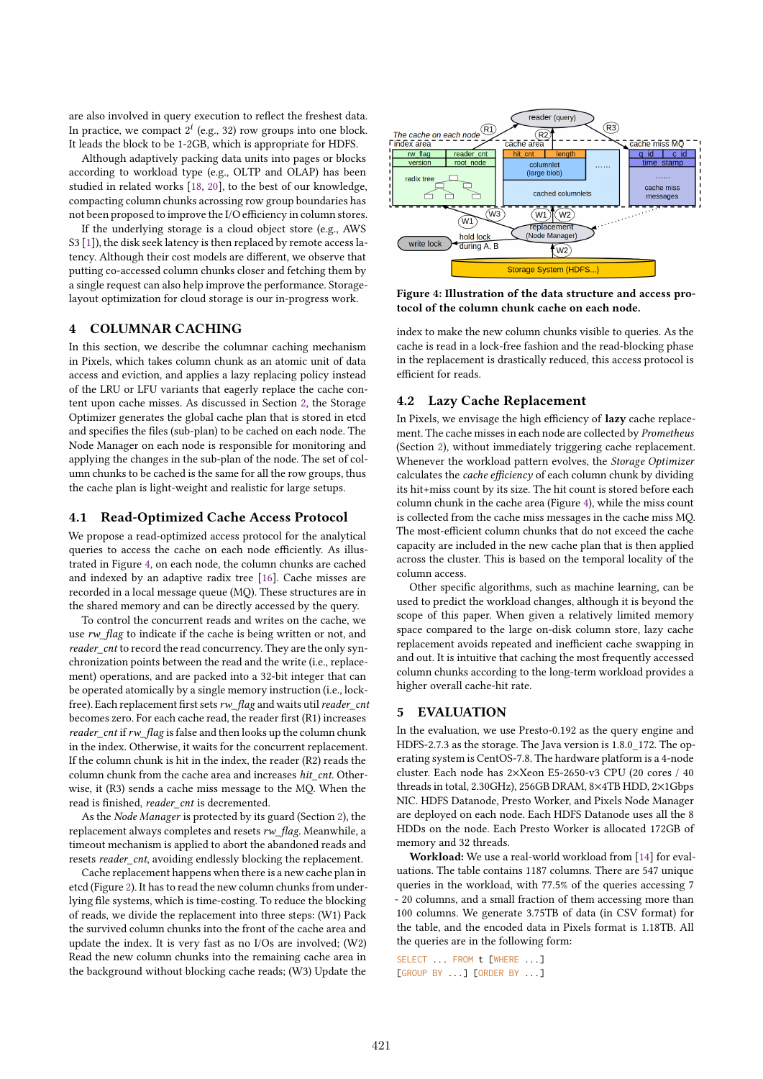are also involved in query execution to reflect the freshest data. In practice, we compact  $2^i$  (e.g., 32) row groups into one block. It leads the block to be 1-2GB, which is appropriate for HDFS.

Although adaptively packing data units into pages or blocks according to workload type (e.g., OLTP and OLAP) has been studied in related works [18, 20], to the best of our knowledge, compacting column chunks acrossing row group boundaries has not been proposed to improve the I/O efficiency in column stores.

If the underlying storage is a cloud object store (e.g., AWS S3 [1]), the disk seek latency is then replaced by remote access latency. Although their cost models are different, we observe that putting co-accessed column chunks closer and fetching them by a single request can also help improve the performance. Storagelayout optimization for cloud storage is our in-progress work.

# **4 COLUMNAR CACHING**

In this section, we describe the columnar caching mechanism in Pixels, which takes column chunk as an atomic unit of data access and eviction, and applies a lazy replacing policy instead of the LRU or LFU variants that eagerly replace the cache content upon cache misses. As discussed in Section 2, the Storage Optimizer generates the global cache plan that is stored in etcd and specifies the files (sub-plan) to be cached on each node. The Node Manager on each node is responsible for monitoring and applying the changes in the sub-plan of the node. The set of column chunks to be cached is the same for all the row groups, thus the cache plan is light-weight and realistic for large setups.

#### **4.1 Read-Optimized Cache Access Protocol**

We propose a read-optimized access protocol for the analytical queries to access the cache on each node efficiently. As illustrated in Figure 4, on each node, the column chunks are cached and indexed by an adaptive radix tree [16]. Cache misses are recorded in a local message queue (MQ). These structures are in the shared memory and can be directly accessed by the query.

To control the concurrent reads and writes on the cache, we use *rw\_flag* to indicate if the cache is being written or not, and *reader\_cnt* to record the read concurrency. They are the only synchronization points between the read and the write (i.e., replacement) operations, and are packed into a 32-bit integer that can be operated atomically by a single memory instruction (i.e., lockfree). Each replacement first sets*rw\_flag* and waits util*reader\_cnt* becomes zero. For each cache read, the reader first (R1) increases *reader cnt* if  $rw$  flag is false and then looks up the column chunk in the index. Otherwise, it waits for the concurrent replacement. If the column chunk is hit in the index, the reader (R2) reads the column chunk from the cache area and increases *hit\_cnt*. Otherwise, it (R3) sends a cache miss message to the MQ. When the read is finished, *reader\_cnt* is decremented.

As the *Node Manager* is protected by its guard (Section 2), the replacement always completes and resets *rw\_flag*. Meanwhile, a timeout mechanism is applied to abort the abandoned reads and resets *reader\_cnt*, avoiding endlessly blocking the replacement.

Cache replacement happens when there is a new cache plan in etcd (Figure 2). It has to read the new column chunks from underlying file systems, which is time-costing. To reduce the blocking of reads, we divide the replacement into three steps: (W1) Pack the survived column chunks into the front of the cache area and update the index. It is very fast as no I/Os are involved; (W2) Read the new column chunks into the remaining cache area in the background without blocking cache reads; (W3) Update the



**Figure 4: Illustration of the data structure and access protocol of the column chunk cache on each node.**

index to make the new column chunks visible to queries. As the cache is read in a lock-free fashion and the read-blocking phase in the replacement is drastically reduced, this access protocol is efficient for reads.

# **4.2 Lazy Cache Replacement**

In Pixels, we envisage the high efficiency of **lazy** cache replacement. The cache misses in each node are collected by *Prometheus* (Section 2), without immediately triggering cache replacement. Whenever the workload pattern evolves, the *Storage Optimizer* calculates the *cache efficiency* of each column chunk by dividing its hit+miss count by its size. The hit count is stored before each column chunk in the cache area (Figure 4), while the miss count is collected from the cache miss messages in the cache miss MQ. The most-efficient column chunks that do not exceed the cache capacity are included in the new cache plan that is then applied across the cluster. This is based on the temporal locality of the column access.

Other specific algorithms, such as machine learning, can be used to predict the workload changes, although it is beyond the scope of this paper. When given a relatively limited memory space compared to the large on-disk column store, lazy cache replacement avoids repeated and inefficient cache swapping in and out. It is intuitive that caching the most frequently accessed column chunks according to the long-term workload provides a higher overall cache-hit rate.

## **5 EVALUATION**

In the evaluation, we use Presto-0.192 as the query engine and HDFS-2.7.3 as the storage. The Java version is 1.8.0\_172. The operating system is CentOS-7.8. The hardware platform is a 4-node cluster. Each node has 2×Xeon E5-2650-v3 CPU (20 cores / 40 threads in total, 2.30GHz), 256GB DRAM, 8×4TB HDD, 2×1Gbps NIC. HDFS Datanode, Presto Worker, and Pixels Node Manager are deployed on each node. Each HDFS Datanode uses all the 8 HDDs on the node. Each Presto Worker is allocated 172GB of memory and 32 threads.

**Workload:** We use a real-world workload from [14] for evaluations. The table contains 1187 columns. There are 547 unique queries in the workload, with 77.5% of the queries accessing 7 - 20 columns, and a small fraction of them accessing more than 100 columns. We generate 3.75TB of data (in CSV format) for the table, and the encoded data in Pixels format is 1.18TB. All the queries are in the following form:

SELECT ... FROM t [WHERE ...] [GROUP BY ...] [ORDER BY ...]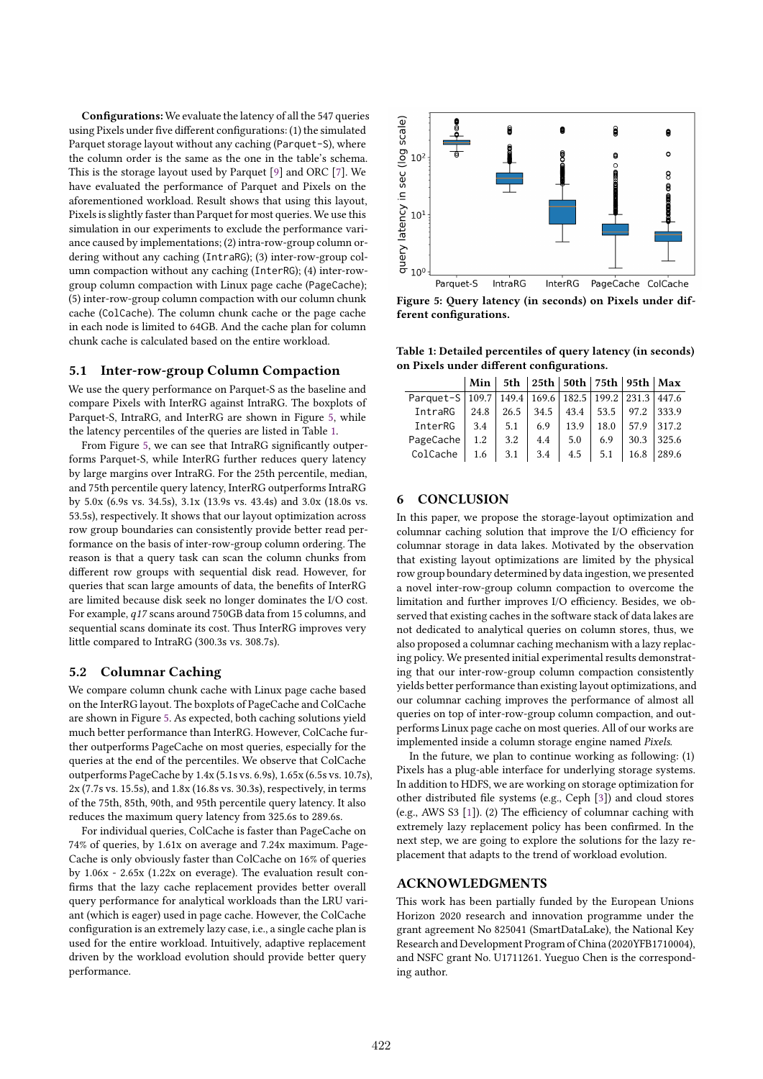**Configurations:** We evaluate the latency of all the 547 queries using Pixels under five different configurations: (1) the simulated Parquet storage layout without any caching (Parquet-S), where the column order is the same as the one in the table's schema. This is the storage layout used by Parquet [9] and ORC [7]. We have evaluated the performance of Parquet and Pixels on the aforementioned workload. Result shows that using this layout, Pixels is slightly faster than Parquet for most queries. We use this simulation in our experiments to exclude the performance variance caused by implementations; (2) intra-row-group column ordering without any caching (IntraRG); (3) inter-row-group column compaction without any caching (InterRG); (4) inter-rowgroup column compaction with Linux page cache (PageCache); (5) inter-row-group column compaction with our column chunk cache (ColCache). The column chunk cache or the page cache in each node is limited to 64GB. And the cache plan for column chunk cache is calculated based on the entire workload.

# **5.1 Inter-row-group Column Compaction**

We use the query performance on Parquet-S as the baseline and compare Pixels with InterRG against IntraRG. The boxplots of Parquet-S, IntraRG, and InterRG are shown in Figure 5, while the latency percentiles of the queries are listed in Table 1.

From Figure 5, we can see that IntraRG significantly outperforms Parquet-S, while InterRG further reduces query latency by large margins over IntraRG. For the 25th percentile, median, and 75th percentile query latency, InterRG outperforms IntraRG by 5.0x (6.9s vs. 34.5s), 3.1x (13.9s vs. 43.4s) and 3.0x (18.0s vs. 53.5s), respectively. It shows that our layout optimization across row group boundaries can consistently provide better read performance on the basis of inter-row-group column ordering. The reason is that a query task can scan the column chunks from different row groups with sequential disk read. However, for queries that scan large amounts of data, the benefits of InterRG are limited because disk seek no longer dominates the I/O cost. For example, *q17* scans around 750GB data from 15 columns, and sequential scans dominate its cost. Thus InterRG improves very little compared to IntraRG (300.3s vs. 308.7s).

### **5.2 Columnar Caching**

We compare column chunk cache with Linux page cache based on the InterRG layout. The boxplots of PageCache and ColCache are shown in Figure 5. As expected, both caching solutions yield much better performance than InterRG. However, ColCache further outperforms PageCache on most queries, especially for the queries at the end of the percentiles. We observe that ColCache outperforms PageCache by 1.4x (5.1s vs. 6.9s), 1.65x (6.5s vs. 10.7s), 2x (7.7s vs. 15.5s), and 1.8x (16.8s vs. 30.3s), respectively, in terms of the 75th, 85th, 90th, and 95th percentile query latency. It also reduces the maximum query latency from 325.6s to 289.6s.

For individual queries, ColCache is faster than PageCache on 74% of queries, by 1.61x on average and 7.24x maximum. Page-Cache is only obviously faster than ColCache on 16% of queries by 1.06x - 2.65x (1.22x on everage). The evaluation result confirms that the lazy cache replacement provides better overall query performance for analytical workloads than the LRU variant (which is eager) used in page cache. However, the ColCache configuration is an extremely lazy case, i.e., a single cache plan is used for the entire workload. Intuitively, adaptive replacement driven by the workload evolution should provide better query performance.



**Figure 5: Query latency (in seconds) on Pixels under different configurations.**

**Table 1: Detailed percentiles of query latency (in seconds) on Pixels under different configurations.**

|                                                                   |      | Min   5th   25th   50th   75th   95th   Max |                                |     |     |                              |       |
|-------------------------------------------------------------------|------|---------------------------------------------|--------------------------------|-----|-----|------------------------------|-------|
| Parquet-S   109.7   149.4   169.6   182.5   199.2   231.3   447.6 |      |                                             |                                |     |     |                              |       |
| IntraRG                                                           | 24.8 |                                             | 26.5 34.5 43.4 53.5 97.2 333.9 |     |     |                              |       |
| InterRG                                                           |      | $\vert$ 3.4 $\vert$ 5.1 $\vert$ 6.9         |                                |     |     | $13.9$   18.0   57.9   317.2 |       |
| PageCache                                                         |      | $1.2$   3.2   4.4                           |                                | 5.0 | 6.9 | 30.3                         | 325.6 |
| ColCache   1.6   3.1   3.4   4.5   5.1   16.8   289.6             |      |                                             |                                |     |     |                              |       |

# **6 CONCLUSION**

In this paper, we propose the storage-layout optimization and columnar caching solution that improve the I/O efficiency for columnar storage in data lakes. Motivated by the observation that existing layout optimizations are limited by the physical row group boundary determined by data ingestion, we presented a novel inter-row-group column compaction to overcome the limitation and further improves I/O efficiency. Besides, we observed that existing caches in the software stack of data lakes are not dedicated to analytical queries on column stores, thus, we also proposed a columnar caching mechanism with a lazy replacing policy. We presented initial experimental results demonstrating that our inter-row-group column compaction consistently yields better performance than existing layout optimizations, and our columnar caching improves the performance of almost all queries on top of inter-row-group column compaction, and outperforms Linux page cache on most queries. All of our works are implemented inside a column storage engine named *Pixels*.

In the future, we plan to continue working as following: (1) Pixels has a plug-able interface for underlying storage systems. In addition to HDFS, we are working on storage optimization for other distributed file systems (e.g., Ceph [3]) and cloud stores (e.g., AWS S3 [1]). (2) The efficiency of columnar caching with extremely lazy replacement policy has been confirmed. In the next step, we are going to explore the solutions for the lazy replacement that adapts to the trend of workload evolution.

# **ACKNOWLEDGMENTS**

This work has been partially funded by the European Unions Horizon 2020 research and innovation programme under the grant agreement No 825041 (SmartDataLake), the National Key Research and Development Program of China (2020YFB1710004), and NSFC grant No. U1711261. Yueguo Chen is the corresponding author.